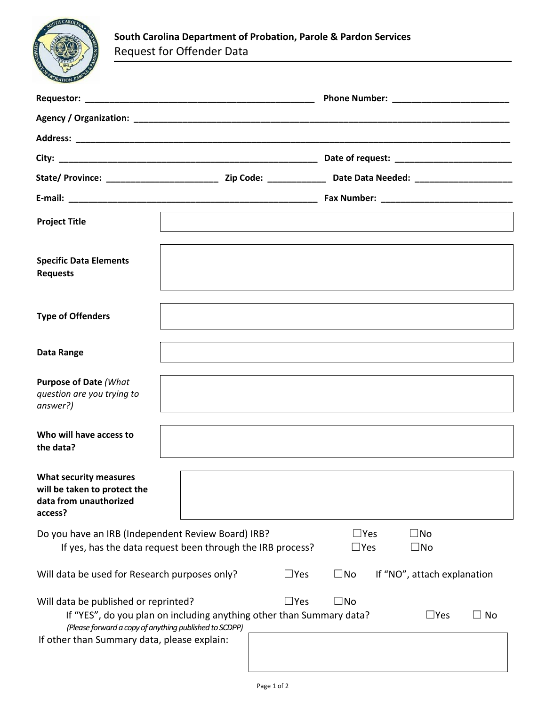

| <b>Project Title</b>                                                                                                                                                                                                  |  |                                                                                                                  |              |               |              |
|-----------------------------------------------------------------------------------------------------------------------------------------------------------------------------------------------------------------------|--|------------------------------------------------------------------------------------------------------------------|--------------|---------------|--------------|
| <b>Specific Data Elements</b><br><b>Requests</b>                                                                                                                                                                      |  |                                                                                                                  |              |               |              |
| <b>Type of Offenders</b>                                                                                                                                                                                              |  |                                                                                                                  |              |               |              |
| Data Range                                                                                                                                                                                                            |  | and the control of the control of the control of the control of the control of the control of the control of the |              |               |              |
| <b>Purpose of Date (What</b><br>question are you trying to<br>answer?)                                                                                                                                                |  |                                                                                                                  |              |               |              |
| Who will have access to<br>the data?                                                                                                                                                                                  |  |                                                                                                                  |              |               |              |
| <b>What security measures</b><br>will be taken to protect the<br>data from unauthorized<br>access?                                                                                                                    |  |                                                                                                                  |              |               |              |
| Do you have an IRB (Independent Review Board) IRB?<br>$\Box$ Yes<br>$\square$ No<br>If yes, has the data request been through the IRB process?<br>$\Box$ Yes<br>$\square$ No                                          |  |                                                                                                                  |              |               |              |
| $\square$ Yes<br>Will data be used for Research purposes only?<br>$\square$ No<br>If "NO", attach explanation                                                                                                         |  |                                                                                                                  |              |               |              |
| Will data be published or reprinted?<br>If "YES", do you plan on including anything other than Summary data?<br>(Please forward a copy of anything published to SCDPP)<br>If other than Summary data, please explain: |  | $\square$ Yes                                                                                                    | $\square$ No | $\square$ Yes | $\square$ No |